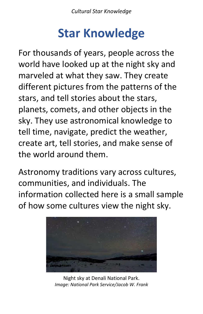## **Star Knowledge**

For thousands of years, people across the world have looked up at the night sky and marveled at what they saw. They create different pictures from the patterns of the stars, and tell stories about the stars, planets, comets, and other objects in the sky. They use astronomical knowledge to tell time, navigate, predict the weather, create art, tell stories, and make sense of the world around them.

Astronomy traditions vary across cultures, communities, and individuals. The information collected here is a small sample of how some cultures view the night sky.



Night sky at Denali National Park. *Image: National Park Service/Jacob W. Frank*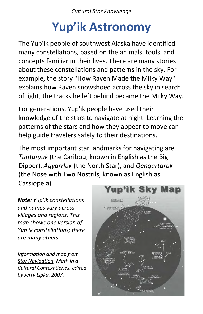# **Yup'ik Astronomy**

The Yup'ik people of southwest Alaska have identified many constellations, based on the animals, tools, and concepts familiar in their lives. There are many stories about these constellations and patterns in the sky. For example, the story "How Raven Made the Milky Way" explains how Raven snowshoed across the sky in search of light; the tracks he left behind became the Milky Way.

For generations, Yup'ik people have used their knowledge of the stars to navigate at night. Learning the patterns of the stars and how they appear to move can help guide travelers safely to their destinations.

The most important star landmarks for navigating are *Tunturyuk* (the Caribou, known in English as the Big Dipper), *Agyarrluk* (the North Star), and *Qengartarak*  (the Nose with Two Nostrils, known as English as Cassiopeia).

*Note: Yup'ik constellations and names vary across villages and regions. This map shows one version of Yup'ik constellations; there are many others.* 

*Information and map from Star Navigation, Math in a Cultural Context Series, edited by Jerry Lipka, 2007.* 

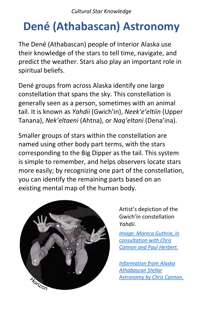## **Dené (Athabascan) Astronomy**

The Dené (Athabascan) people of Interior Alaska use their knowledge of the stars to tell time, navigate, and predict the weather. Stars also play an important role in spiritual beliefs.

Dené groups from across Alaska identify one large constellation that spans the sky. This constellation is generally seen as a person, sometimes with an animal tail. It is known as *Yahdii* (Gwich'in), *Neek'e'eltiin* (Upper Tanana), *Nek'eltaeni* (Ahtna), or *Naq'eltani* (Dena'ina).

Smaller groups of stars within the constellation are named using other body part terms, with the stars corresponding to the Big Dipper as the tail. This system is simple to remember, and helps observers locate stars more easily; by recognizing one part of the constellation, you can identify the remaining parts based on an existing mental map of the human body.



Artist's depiction of the Gwich'in constellation *Yahdii*.

*[Image: Mareca Guthrie, in](https://www.arcus.org/witness-the-arctic/2019/4/highlight/1)  consultation with Chris Cannon and Paul Herbert.*

*Information from Alaska Athabascan Stellar [Astronomy by Chris Cannon.](https://scholarworks.alaska.edu/bitstream/handle/11122/4817/Cannon_uaf_0006N_10276.pdf)*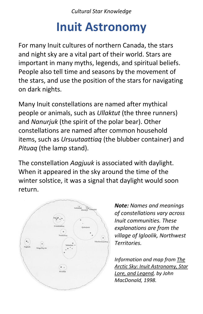#### **Inuit Astronomy**

For many Inuit cultures of northern Canada, the stars and night sky are a vital part of their world. Stars are important in many myths, legends, and spiritual beliefs. People also tell time and seasons by the movement of the stars, and use the position of the stars for navigating on dark nights.

Many Inuit constellations are named after mythical people or animals, such as *Ullaktut* (the three runners) and *Nanurjuk* (the spirit of the polar bear). Other constellations are named after common household items, such as *Ursuutaattiaq* (the blubber container) and *Pituaq* (the lamp stand).

The constellation *Aagjuuk* is associated with daylight. When it appeared in the sky around the time of the winter solstice, it was a signal that daylight would soon return.



*Note: Names and meanings of constellations vary across Inuit communities. These explanations are from the village of Igloolik, Northwest Territories.* 

*Information and map from The Arctic Sky: Inuit Astronomy, Star Lore, and Legend, by John MacDonald, 1998.*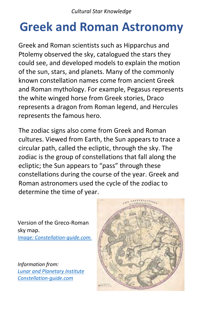## **Greek and Roman Astronomy**

Greek and Roman scientists such as Hipparchus and Ptolemy observed the sky, catalogued the stars they could see, and developed models to explain the motion of the sun, stars, and planets. Many of the commonly known constellation names come from ancient Greek and Roman mythology. For example, Pegasus represents the white winged horse from Greek stories, Draco represents a dragon from Roman legend, and Hercules represents the famous hero.

The zodiac signs also come from Greek and Roman cultures. Viewed from Earth, the Sun appears to trace a circular path, called the ecliptic, through the sky. The zodiac is the group of constellations that fall along the ecliptic; the Sun appears to "pass" through these constellations during the course of the year. Greek and Roman astronomers used the cycle of the zodiac to determine the time of year.

Version of the Greco-Roman sky map. *[Image: Constellation-guide.com.](http://www.constellation-guide.com/what-is-a-constellation/)*

*Information from: [Lunar and Planetary Institute](http://www.lpi.usra.edu/education/skytellers/constellations) [Constellation-guide.com](http://www.constellation-guide.com/constellation-names)*

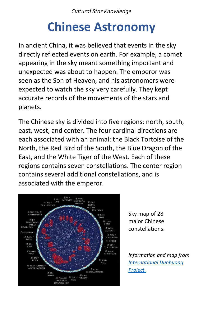#### **Chinese Astronomy**

In ancient China, it was believed that events in the sky directly reflected events on earth. For example, a comet appearing in the sky meant something important and unexpected was about to happen. The emperor was seen as the Son of Heaven, and his astronomers were expected to watch the sky very carefully. They kept accurate records of the movements of the stars and planets.

The Chinese sky is divided into five regions: north, south, east, west, and center. The four cardinal directions are each associated with an animal: the Black Tortoise of the North, the Red Bird of the South, the Blue Dragon of the East, and the White Tiger of the West. Each of these regions contains seven constellations. The center region contains several additional constellations, and is associated with the emperor.



Sky map of 28 major Chinese constellations.

*Information and map from [International Dunhuang](http://idp.bl.uk/4DCGI/education/astronomy/index.html)  Project.*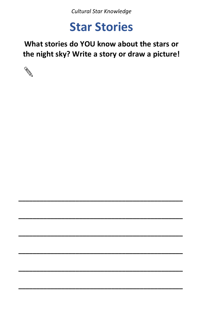#### **Star Stories**

What stories do YOU know about the stars or the night sky? Write a story or draw a picture!